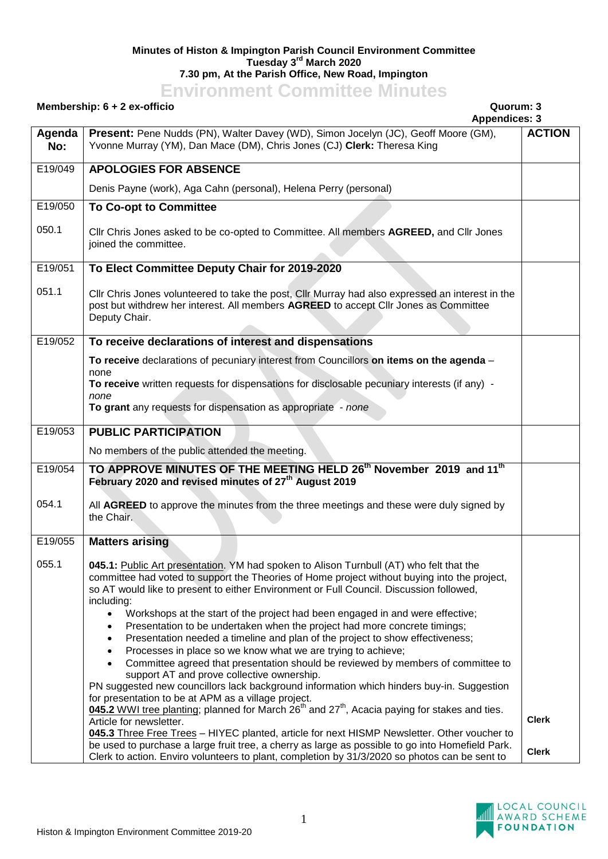## **Minutes of Histon & Impington Parish Council Environment Committee Tuesday 3 rd March 2020 7.30 pm, At the Parish Office, New Road, Impington**

## **Environment Committee Minutes**

## **Membership: 6 + 2 ex-officio Quorum: 3**

|               | <b>Appendices: 3</b>                                                                                                                                                                                                                                                                                                                       |               |
|---------------|--------------------------------------------------------------------------------------------------------------------------------------------------------------------------------------------------------------------------------------------------------------------------------------------------------------------------------------------|---------------|
| Agenda<br>No: | Present: Pene Nudds (PN), Walter Davey (WD), Simon Jocelyn (JC), Geoff Moore (GM),<br>Yvonne Murray (YM), Dan Mace (DM), Chris Jones (CJ) Clerk: Theresa King                                                                                                                                                                              | <b>ACTION</b> |
| E19/049       | <b>APOLOGIES FOR ABSENCE</b>                                                                                                                                                                                                                                                                                                               |               |
|               | Denis Payne (work), Aga Cahn (personal), Helena Perry (personal)                                                                                                                                                                                                                                                                           |               |
| E19/050       | <b>To Co-opt to Committee</b>                                                                                                                                                                                                                                                                                                              |               |
| 050.1         | Cllr Chris Jones asked to be co-opted to Committee. All members AGREED, and Cllr Jones<br>joined the committee.                                                                                                                                                                                                                            |               |
| E19/051       | To Elect Committee Deputy Chair for 2019-2020                                                                                                                                                                                                                                                                                              |               |
| 051.1         | Cllr Chris Jones volunteered to take the post, Cllr Murray had also expressed an interest in the<br>post but withdrew her interest. All members AGREED to accept Cllr Jones as Committee<br>Deputy Chair.                                                                                                                                  |               |
| E19/052       | To receive declarations of interest and dispensations                                                                                                                                                                                                                                                                                      |               |
|               | To receive declarations of pecuniary interest from Councillors on items on the agenda -                                                                                                                                                                                                                                                    |               |
|               | none<br>To receive written requests for dispensations for disclosable pecuniary interests (if any) -<br>none                                                                                                                                                                                                                               |               |
|               | To grant any requests for dispensation as appropriate - none                                                                                                                                                                                                                                                                               |               |
| E19/053       | <b>PUBLIC PARTICIPATION</b>                                                                                                                                                                                                                                                                                                                |               |
|               | No members of the public attended the meeting.                                                                                                                                                                                                                                                                                             |               |
| E19/054       | TO APPROVE MINUTES OF THE MEETING HELD 26 <sup>th</sup> November 2019 and 11 <sup>th</sup><br>February 2020 and revised minutes of 27 <sup>th</sup> August 2019                                                                                                                                                                            |               |
| 054.1         | All AGREED to approve the minutes from the three meetings and these were duly signed by<br>the Chair.                                                                                                                                                                                                                                      |               |
| E19/055       | <b>Matters arising</b>                                                                                                                                                                                                                                                                                                                     |               |
| 055.1         | 045.1: Public Art presentation. YM had spoken to Alison Turnbull (AT) who felt that the<br>committee had voted to support the Theories of Home project without buying into the project,<br>so AT would like to present to either Environment or Full Council. Discussion followed,<br>including:                                           |               |
|               | Workshops at the start of the project had been engaged in and were effective;<br>$\bullet$<br>Presentation to be undertaken when the project had more concrete timings;<br>$\bullet$<br>Presentation needed a timeline and plan of the project to show effectiveness;<br>٠<br>Processes in place so we know what we are trying to achieve; |               |
|               | Committee agreed that presentation should be reviewed by members of committee to<br>support AT and prove collective ownership.                                                                                                                                                                                                             |               |
|               | PN suggested new councillors lack background information which hinders buy-in. Suggestion                                                                                                                                                                                                                                                  |               |
|               | for presentation to be at APM as a village project.<br>045.2 WWI tree planting; planned for March 26 <sup>th</sup> and 27 <sup>th</sup> , Acacia paying for stakes and ties.                                                                                                                                                               |               |
|               | Article for newsletter.                                                                                                                                                                                                                                                                                                                    | <b>Clerk</b>  |
|               | 045.3 Three Free Trees - HIYEC planted, article for next HISMP Newsletter. Other voucher to<br>be used to purchase a large fruit tree, a cherry as large as possible to go into Homefield Park.<br>Clerk to action. Enviro volunteers to plant, completion by 31/3/2020 so photos can be sent to                                           | <b>Clerk</b>  |

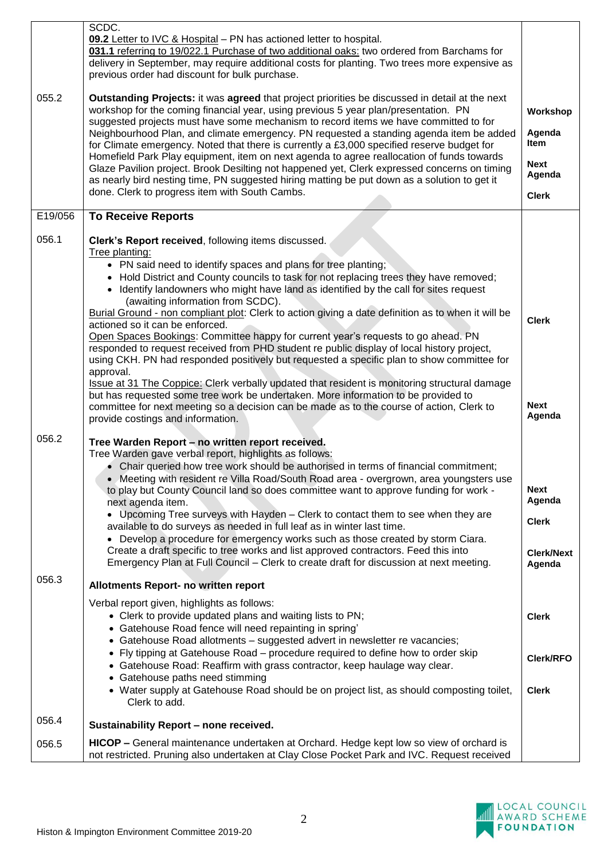| 055.2   | SCDC.<br>09.2 Letter to IVC & Hospital - PN has actioned letter to hospital.<br>031.1 referring to 19/022.1 Purchase of two additional oaks: two ordered from Barchams for<br>delivery in September, may require additional costs for planting. Two trees more expensive as<br>previous order had discount for bulk purchase.<br>Outstanding Projects: it was agreed that project priorities be discussed in detail at the next                                   |                                       |
|---------|-------------------------------------------------------------------------------------------------------------------------------------------------------------------------------------------------------------------------------------------------------------------------------------------------------------------------------------------------------------------------------------------------------------------------------------------------------------------|---------------------------------------|
|         | workshop for the coming financial year, using previous 5 year plan/presentation. PN<br>suggested projects must have some mechanism to record items we have committed to for<br>Neighbourhood Plan, and climate emergency. PN requested a standing agenda item be added<br>for Climate emergency. Noted that there is currently a £3,000 specified reserve budget for<br>Homefield Park Play equipment, item on next agenda to agree reallocation of funds towards | Workshop<br>Agenda<br><b>Item</b>     |
|         | Glaze Pavilion project. Brook Desilting not happened yet, Clerk expressed concerns on timing<br>as nearly bird nesting time, PN suggested hiring matting be put down as a solution to get it<br>done. Clerk to progress item with South Cambs.                                                                                                                                                                                                                    | <b>Next</b><br>Agenda<br><b>Clerk</b> |
|         |                                                                                                                                                                                                                                                                                                                                                                                                                                                                   |                                       |
| E19/056 | <b>To Receive Reports</b>                                                                                                                                                                                                                                                                                                                                                                                                                                         |                                       |
| 056.1   | Clerk's Report received, following items discussed.                                                                                                                                                                                                                                                                                                                                                                                                               |                                       |
|         | Tree planting:<br>• PN said need to identify spaces and plans for tree planting;                                                                                                                                                                                                                                                                                                                                                                                  |                                       |
|         | Hold District and County councils to task for not replacing trees they have removed;<br>$\bullet$                                                                                                                                                                                                                                                                                                                                                                 |                                       |
|         | • Identify landowners who might have land as identified by the call for sites request                                                                                                                                                                                                                                                                                                                                                                             |                                       |
|         | (awaiting information from SCDC).<br>Burial Ground - non compliant plot: Clerk to action giving a date definition as to when it will be                                                                                                                                                                                                                                                                                                                           |                                       |
|         | actioned so it can be enforced.                                                                                                                                                                                                                                                                                                                                                                                                                                   | <b>Clerk</b>                          |
|         | Open Spaces Bookings: Committee happy for current year's requests to go ahead. PN<br>responded to request received from PHD student re public display of local history project,                                                                                                                                                                                                                                                                                   |                                       |
|         | using CKH. PN had responded positively but requested a specific plan to show committee for                                                                                                                                                                                                                                                                                                                                                                        |                                       |
|         | approval.<br>Issue at 31 The Coppice: Clerk verbally updated that resident is monitoring structural damage                                                                                                                                                                                                                                                                                                                                                        |                                       |
|         | but has requested some tree work be undertaken. More information to be provided to<br>committee for next meeting so a decision can be made as to the course of action, Clerk to<br>provide costings and information.                                                                                                                                                                                                                                              | <b>Next</b><br>Agenda                 |
| 056.2   |                                                                                                                                                                                                                                                                                                                                                                                                                                                                   |                                       |
|         | Tree Warden Report - no written report received.<br>Tree Warden gave verbal report, highlights as follows:                                                                                                                                                                                                                                                                                                                                                        |                                       |
|         | • Chair queried how tree work should be authorised in terms of financial commitment;                                                                                                                                                                                                                                                                                                                                                                              |                                       |
|         | • Meeting with resident re Villa Road/South Road area - overgrown, area youngsters use<br>to play but County Council land so does committee want to approve funding for work -<br>next agenda item.                                                                                                                                                                                                                                                               | <b>Next</b><br>Agenda                 |
|         | • Upcoming Tree surveys with Hayden - Clerk to contact them to see when they are                                                                                                                                                                                                                                                                                                                                                                                  | <b>Clerk</b>                          |
|         | available to do surveys as needed in full leaf as in winter last time.<br>• Develop a procedure for emergency works such as those created by storm Ciara.                                                                                                                                                                                                                                                                                                         |                                       |
|         | Create a draft specific to tree works and list approved contractors. Feed this into<br>Emergency Plan at Full Council - Clerk to create draft for discussion at next meeting.                                                                                                                                                                                                                                                                                     | <b>Clerk/Next</b><br>Agenda           |
| 056.3   | Allotments Report- no written report                                                                                                                                                                                                                                                                                                                                                                                                                              |                                       |
|         | Verbal report given, highlights as follows:                                                                                                                                                                                                                                                                                                                                                                                                                       |                                       |
|         | • Clerk to provide updated plans and waiting lists to PN;                                                                                                                                                                                                                                                                                                                                                                                                         | <b>Clerk</b>                          |
|         | • Gatehouse Road fence will need repainting in spring'<br>• Gatehouse Road allotments - suggested advert in newsletter re vacancies;                                                                                                                                                                                                                                                                                                                              |                                       |
|         | • Fly tipping at Gatehouse Road - procedure required to define how to order skip<br>• Gatehouse Road: Reaffirm with grass contractor, keep haulage way clear.                                                                                                                                                                                                                                                                                                     | <b>Clerk/RFO</b>                      |
|         | • Gatehouse paths need stimming<br>• Water supply at Gatehouse Road should be on project list, as should composting toilet,<br>Clerk to add.                                                                                                                                                                                                                                                                                                                      | <b>Clerk</b>                          |
| 056.4   | Sustainability Report - none received.                                                                                                                                                                                                                                                                                                                                                                                                                            |                                       |
| 056.5   | HICOP - General maintenance undertaken at Orchard. Hedge kept low so view of orchard is<br>not restricted. Pruning also undertaken at Clay Close Pocket Park and IVC. Request received                                                                                                                                                                                                                                                                            |                                       |

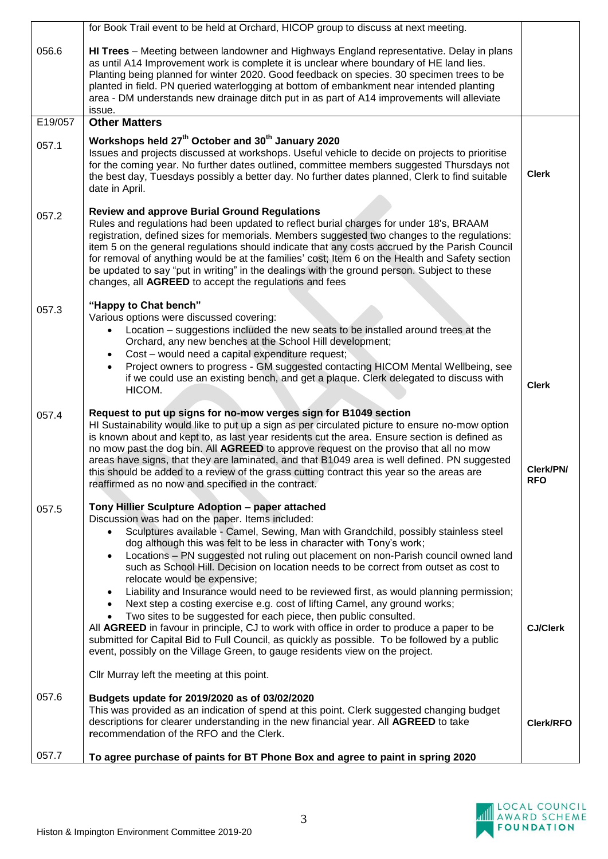|         | for Book Trail event to be held at Orchard, HICOP group to discuss at next meeting.                                                                                                                                                                                                                                                                                                                                                                                                                                                                                                                                                                                                                                                                                                                                                                                                                                                                                                                                                                                        |                         |
|---------|----------------------------------------------------------------------------------------------------------------------------------------------------------------------------------------------------------------------------------------------------------------------------------------------------------------------------------------------------------------------------------------------------------------------------------------------------------------------------------------------------------------------------------------------------------------------------------------------------------------------------------------------------------------------------------------------------------------------------------------------------------------------------------------------------------------------------------------------------------------------------------------------------------------------------------------------------------------------------------------------------------------------------------------------------------------------------|-------------------------|
| 056.6   | HI Trees - Meeting between landowner and Highways England representative. Delay in plans<br>as until A14 Improvement work is complete it is unclear where boundary of HE land lies.<br>Planting being planned for winter 2020. Good feedback on species. 30 specimen trees to be<br>planted in field. PN queried waterlogging at bottom of embankment near intended planting<br>area - DM understands new drainage ditch put in as part of A14 improvements will alleviate<br>issue.                                                                                                                                                                                                                                                                                                                                                                                                                                                                                                                                                                                       |                         |
| E19/057 | <b>Other Matters</b>                                                                                                                                                                                                                                                                                                                                                                                                                                                                                                                                                                                                                                                                                                                                                                                                                                                                                                                                                                                                                                                       |                         |
| 057.1   | Workshops held 27 <sup>th</sup> October and 30 <sup>th</sup> January 2020<br>Issues and projects discussed at workshops. Useful vehicle to decide on projects to prioritise<br>for the coming year. No further dates outlined, committee members suggested Thursdays not<br>the best day, Tuesdays possibly a better day. No further dates planned, Clerk to find suitable<br>date in April.                                                                                                                                                                                                                                                                                                                                                                                                                                                                                                                                                                                                                                                                               | <b>Clerk</b>            |
| 057.2   | <b>Review and approve Burial Ground Regulations</b><br>Rules and regulations had been updated to reflect burial charges for under 18's, BRAAM<br>registration, defined sizes for memorials. Members suggested two changes to the regulations:<br>item 5 on the general regulations should indicate that any costs accrued by the Parish Council<br>for removal of anything would be at the families' cost; Item 6 on the Health and Safety section<br>be updated to say "put in writing" in the dealings with the ground person. Subject to these<br>changes, all AGREED to accept the regulations and fees                                                                                                                                                                                                                                                                                                                                                                                                                                                                |                         |
| 057.3   | "Happy to Chat bench"<br>Various options were discussed covering:<br>Location – suggestions included the new seats to be installed around trees at the<br>Orchard, any new benches at the School Hill development;<br>Cost - would need a capital expenditure request;<br>Project owners to progress - GM suggested contacting HICOM Mental Wellbeing, see<br>if we could use an existing bench, and get a plaque. Clerk delegated to discuss with<br>HICOM.                                                                                                                                                                                                                                                                                                                                                                                                                                                                                                                                                                                                               | <b>Clerk</b>            |
| 057.4   | Request to put up signs for no-mow verges sign for B1049 section<br>HI Sustainability would like to put up a sign as per circulated picture to ensure no-mow option<br>is known about and kept to, as last year residents cut the area. Ensure section is defined as<br>no mow past the dog bin. All <b>AGREED</b> to approve request on the proviso that all no mow<br>areas have signs, that they are laminated, and that B1049 area is well defined. PN suggested<br>this should be added to a review of the grass cutting contract this year so the areas are<br>reaffirmed as no now and specified in the contract.                                                                                                                                                                                                                                                                                                                                                                                                                                                   | Clerk/PN/<br><b>RFO</b> |
| 057.5   | Tony Hillier Sculpture Adoption - paper attached<br>Discussion was had on the paper. Items included:<br>Sculptures available - Camel, Sewing, Man with Grandchild, possibly stainless steel<br>dog although this was felt to be less in character with Tony's work;<br>Locations - PN suggested not ruling out placement on non-Parish council owned land<br>such as School Hill. Decision on location needs to be correct from outset as cost to<br>relocate would be expensive;<br>Liability and Insurance would need to be reviewed first, as would planning permission;<br>$\bullet$<br>Next step a costing exercise e.g. cost of lifting Camel, any ground works;<br>Two sites to be suggested for each piece, then public consulted.<br>All AGREED in favour in principle, CJ to work with office in order to produce a paper to be<br>submitted for Capital Bid to Full Council, as quickly as possible. To be followed by a public<br>event, possibly on the Village Green, to gauge residents view on the project.<br>Cllr Murray left the meeting at this point. | <b>CJ/Clerk</b>         |
| 057.6   | Budgets update for 2019/2020 as of 03/02/2020<br>This was provided as an indication of spend at this point. Clerk suggested changing budget<br>descriptions for clearer understanding in the new financial year. All AGREED to take<br>recommendation of the RFO and the Clerk.                                                                                                                                                                                                                                                                                                                                                                                                                                                                                                                                                                                                                                                                                                                                                                                            | <b>Clerk/RFO</b>        |
| 057.7   | To agree purchase of paints for BT Phone Box and agree to paint in spring 2020                                                                                                                                                                                                                                                                                                                                                                                                                                                                                                                                                                                                                                                                                                                                                                                                                                                                                                                                                                                             |                         |